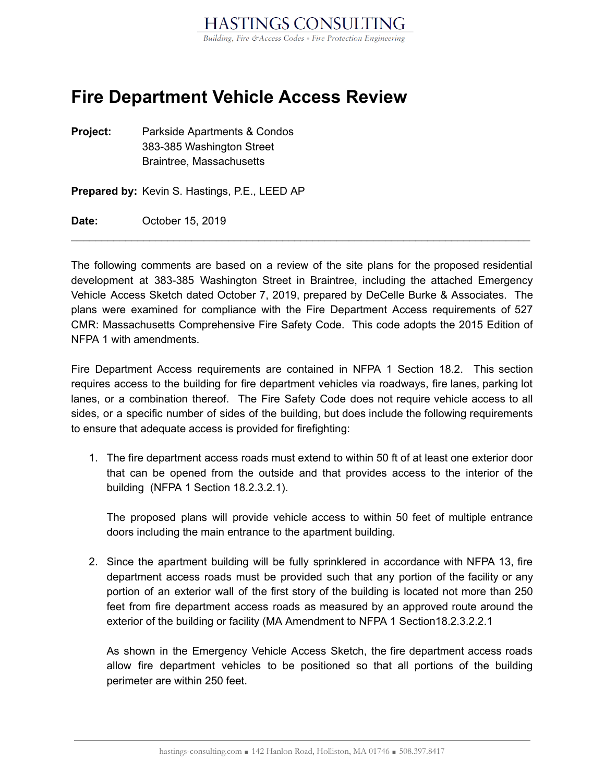

## **Fire Department Vehicle Access Review**

**Project:** Parkside Apartments & Condos 383-385 Washington Street Braintree, Massachusetts

**Prepared by:** Kevin S. Hastings, P.E., LEED AP

**Date:** October 15, 2019

The following comments are based on a review of the site plans for the proposed residential development at 383-385 Washington Street in Braintree, including the attached Emergency Vehicle Access Sketch dated October 7, 2019, prepared by DeCelle Burke & Associates. The plans were examined for compliance with the Fire Department Access requirements of 527 CMR: Massachusetts Comprehensive Fire Safety Code. This code adopts the 2015 Edition of NFPA 1 with amendments.

 $\mathcal{L}_\text{max}$  and  $\mathcal{L}_\text{max}$  and  $\mathcal{L}_\text{max}$  and  $\mathcal{L}_\text{max}$  and  $\mathcal{L}_\text{max}$  and  $\mathcal{L}_\text{max}$ 

Fire Department Access requirements are contained in NFPA 1 Section 18.2. This section requires access to the building for fire department vehicles via roadways, fire lanes, parking lot lanes, or a combination thereof. The Fire Safety Code does not require vehicle access to all sides, or a specific number of sides of the building, but does include the following requirements to ensure that adequate access is provided for firefighting:

1. The fire department access roads must extend to within 50 ft of at least one exterior door that can be opened from the outside and that provides access to the interior of the building (NFPA 1 Section 18.2.3.2.1).

The proposed plans will provide vehicle access to within 50 feet of multiple entrance doors including the main entrance to the apartment building.

2. Since the apartment building will be fully sprinklered in accordance with NFPA 13, fire department access roads must be provided such that any portion of the facility or any portion of an exterior wall of the first story of the building is located not more than 250 feet from fire department access roads as measured by an approved route around the exterior of the building or facility (MA Amendment to NFPA 1 Section18.2.3.2.2.1

As shown in the Emergency Vehicle Access Sketch, the fire department access roads allow fire department vehicles to be positioned so that all portions of the building perimeter are within 250 feet.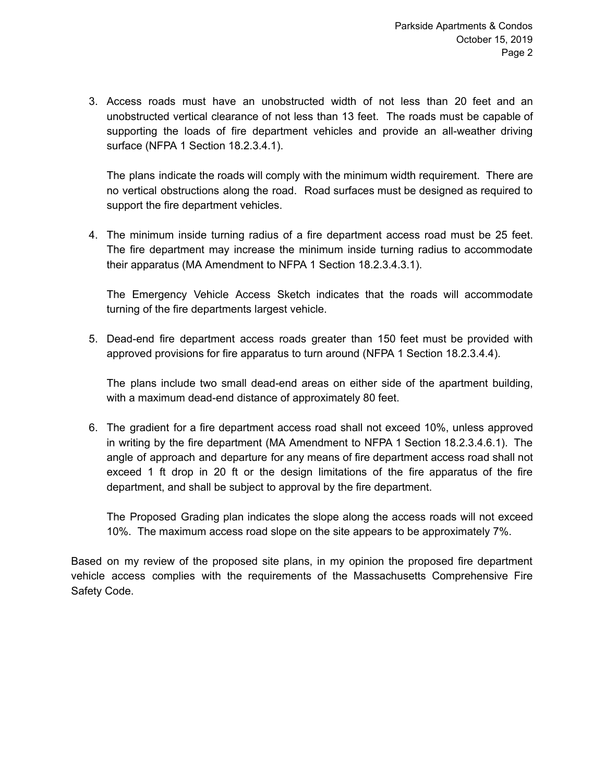3. Access roads must have an unobstructed width of not less than 20 feet and an unobstructed vertical clearance of not less than 13 feet. The roads must be capable of supporting the loads of fire department vehicles and provide an all-weather driving surface (NFPA 1 Section 18.2.3.4.1).

The plans indicate the roads will comply with the minimum width requirement. There are no vertical obstructions along the road. Road surfaces must be designed as required to support the fire department vehicles.

4. The minimum inside turning radius of a fire department access road must be 25 feet. The fire department may increase the minimum inside turning radius to accommodate their apparatus (MA Amendment to NFPA 1 Section 18.2.3.4.3.1).

The Emergency Vehicle Access Sketch indicates that the roads will accommodate turning of the fire departments largest vehicle.

5. Dead-end fire department access roads greater than 150 feet must be provided with approved provisions for fire apparatus to turn around (NFPA 1 Section 18.2.3.4.4).

The plans include two small dead-end areas on either side of the apartment building, with a maximum dead-end distance of approximately 80 feet.

6. The gradient for a fire department access road shall not exceed 10%, unless approved in writing by the fire department (MA Amendment to NFPA 1 Section 18.2.3.4.6.1). The angle of approach and departure for any means of fire department access road shall not exceed 1 ft drop in 20 ft or the design limitations of the fire apparatus of the fire department, and shall be subject to approval by the fire department.

The Proposed Grading plan indicates the slope along the access roads will not exceed 10%. The maximum access road slope on the site appears to be approximately 7%.

Based on my review of the proposed site plans, in my opinion the proposed fire department vehicle access complies with the requirements of the Massachusetts Comprehensive Fire Safety Code.